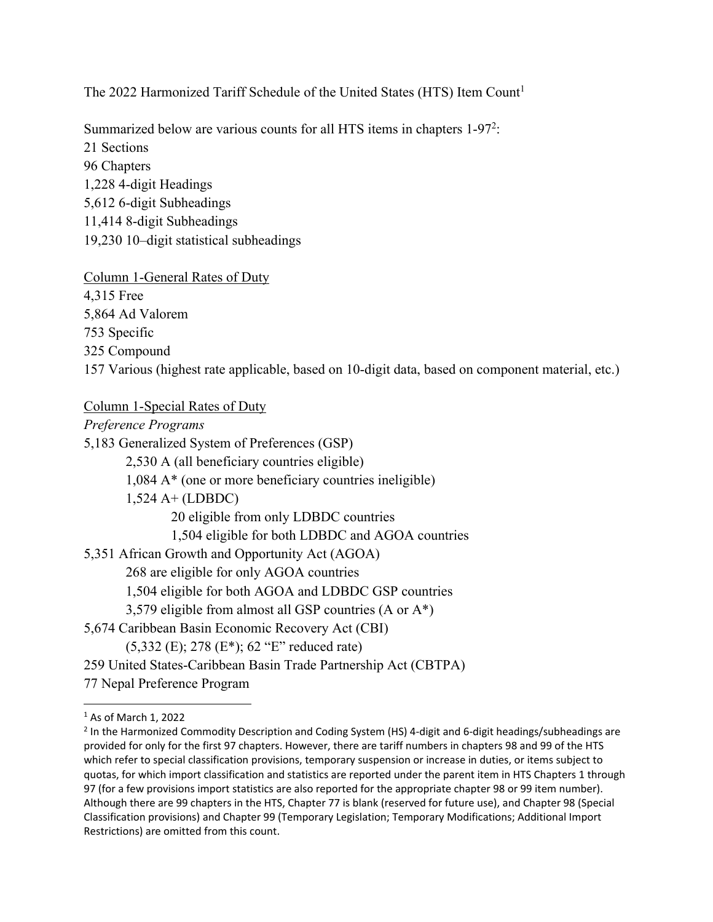The 2022 Harmonized Tariff Schedule of the United States (HTS) Item Count<sup>1</sup>

Summarized below are various counts for all HTS items in chapters  $1-97<sup>2</sup>$ : 21 Sections 96 Chapters 1,228 4-digit Headings 5,612 6-digit Subheadings 11,414 8-digit Subheadings 19,230 10–digit statistical subheadings

Column 1-General Rates of Duty 4,315 Free 5,864 Ad Valorem 753 Specific 325 Compound 157 Various (highest rate applicable, based on 10-digit data, based on component material, etc.)

## Column 1-Special Rates of Duty

*Preference Programs*  5,183 Generalized System of Preferences (GSP) 2,530 A (all beneficiary countries eligible) 1,084 A\* (one or more beneficiary countries ineligible) 1,524 A+ (LDBDC) 20 eligible from only LDBDC countries 1,504 eligible for both LDBDC and AGOA countries 5,351 African Growth and Opportunity Act (AGOA) 268 are eligible for only AGOA countries 1,504 eligible for both AGOA and LDBDC GSP countries 3,579 eligible from almost all GSP countries (A or A\*) 5,674 Caribbean Basin Economic Recovery Act (CBI) (5,332 (E); 278 (E\*); 62 "E" reduced rate) 259 United States-Caribbean Basin Trade Partnership Act (CBTPA) 77 Nepal Preference Program

<sup>1</sup> As of March 1, 2022

<sup>2</sup> In the Harmonized Commodity Description and Coding System (HS) 4‐digit and 6‐digit headings/subheadings are provided for only for the first 97 chapters. However, there are tariff numbers in chapters 98 and 99 of the HTS which refer to special classification provisions, temporary suspension or increase in duties, or items subject to quotas, for which import classification and statistics are reported under the parent item in HTS Chapters 1 through 97 (for a few provisions import statistics are also reported for the appropriate chapter 98 or 99 item number). Although there are 99 chapters in the HTS, Chapter 77 is blank (reserved for future use), and Chapter 98 (Special Classification provisions) and Chapter 99 (Temporary Legislation; Temporary Modifications; Additional Import Restrictions) are omitted from this count.